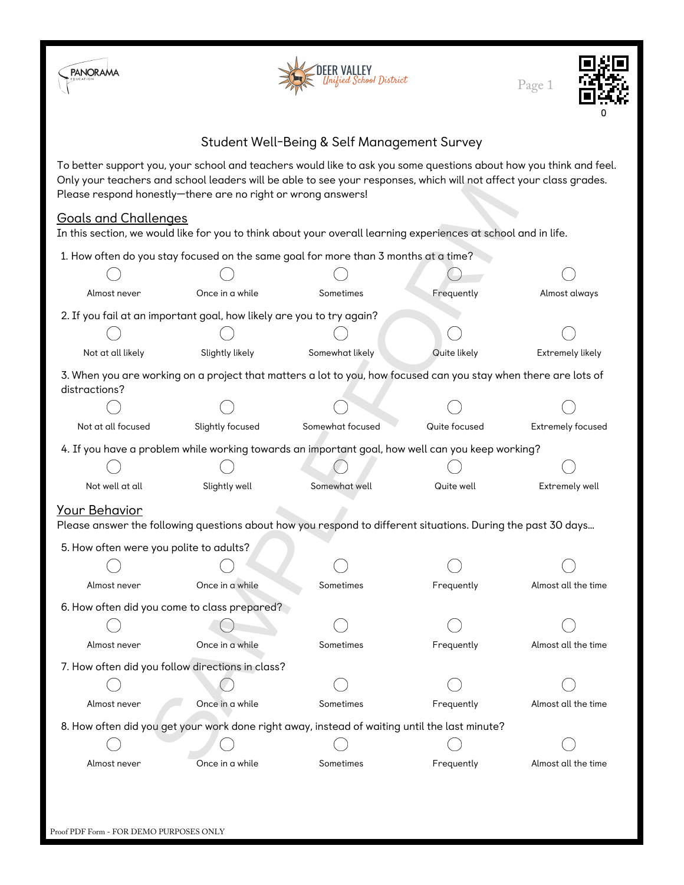





## Student Well-Being & Self Management Survey

To better support you, your school and teachers would like to ask you some questions about how you think and feel. Only your teachers and school leaders will be able to see your responses, which will not affect your class grades. Please respond honestly—there are no right or wrong answers!

## Goals and Challenges

| Please respond honestly-there are no right or wrong answers!          |                  | Only your teachers and school leaders will be able to see your responses, which will not arrect your class grades. |               |                     |
|-----------------------------------------------------------------------|------------------|--------------------------------------------------------------------------------------------------------------------|---------------|---------------------|
| <b>Goals and Challenges</b>                                           |                  | In this section, we would like for you to think about your overall learning experiences at school and in life.     |               |                     |
|                                                                       |                  | 1. How often do you stay focused on the same goal for more than 3 months at a time?                                |               |                     |
|                                                                       |                  |                                                                                                                    |               |                     |
| Almost never                                                          | Once in a while  | Sometimes                                                                                                          | Frequently    | Almost always       |
| 2. If you fail at an important goal, how likely are you to try again? |                  |                                                                                                                    |               |                     |
|                                                                       |                  |                                                                                                                    |               |                     |
| Not at all likely                                                     | Slightly likely  | Somewhat likely                                                                                                    | Quite likely  | Extremely likely    |
| distractions?                                                         |                  | 3. When you are working on a project that matters a lot to you, how focused can you stay when there are lots of    |               |                     |
|                                                                       |                  |                                                                                                                    |               |                     |
| Not at all focused                                                    | Slightly focused | Somewhat focused                                                                                                   | Quite focused | Extremely focused   |
|                                                                       |                  | 4. If you have a problem while working towards an important goal, how well can you keep working?                   |               |                     |
|                                                                       |                  |                                                                                                                    |               |                     |
| Not well at all                                                       | Slightly well    | Somewhat well                                                                                                      | Quite well    | Extremely well      |
| <b>Your Behavior</b>                                                  |                  | Please answer the following questions about how you respond to different situations. During the past 30 days       |               |                     |
| 5. How often were you polite to adults?                               |                  |                                                                                                                    |               |                     |
|                                                                       |                  |                                                                                                                    |               |                     |
| Almost never                                                          | Once in a while  | Sometimes                                                                                                          | Frequently    | Almost all the time |
| 6. How often did you come to class prepared?                          |                  |                                                                                                                    |               |                     |
|                                                                       |                  |                                                                                                                    |               |                     |
| Almost never                                                          | Once in a while  | Sometimes                                                                                                          | Frequently    | Almost all the time |
| 7. How often did you follow directions in class?                      |                  |                                                                                                                    |               |                     |
|                                                                       |                  |                                                                                                                    |               |                     |
| Almost never                                                          | Once in a while  | Sometimes                                                                                                          | Frequently    | Almost all the time |
|                                                                       |                  | 8. How often did you get your work done right away, instead of waiting until the last minute?                      |               |                     |
|                                                                       |                  |                                                                                                                    |               |                     |
| Almost never                                                          | Once in a while  | Sometimes                                                                                                          | Frequently    | Almost all the time |
|                                                                       |                  |                                                                                                                    |               |                     |
|                                                                       |                  |                                                                                                                    |               |                     |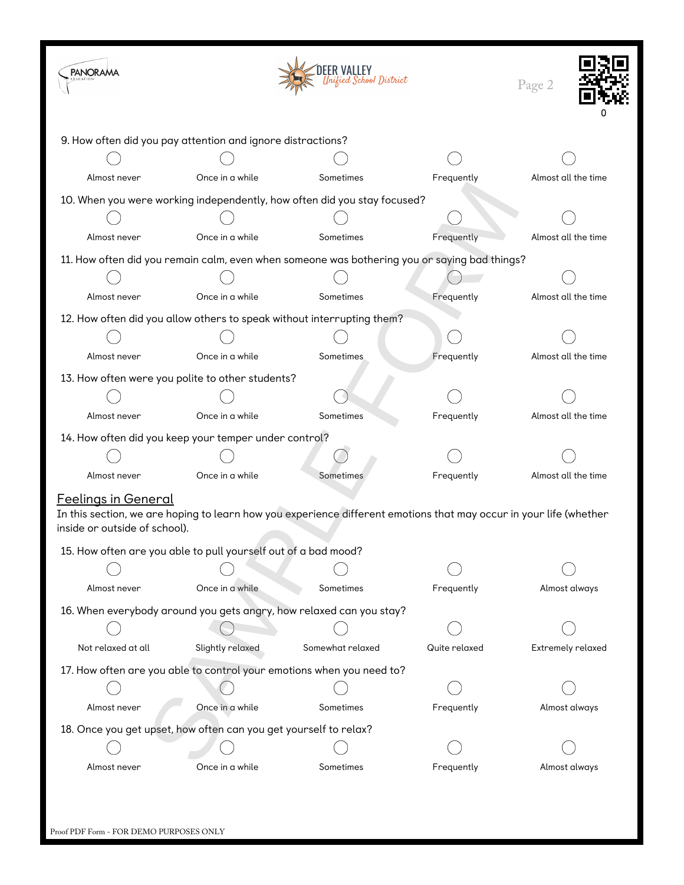| <b>PANORAMA</b>                                                                                                                                                                   |                  | Inified School District                                                  |               | Page 2              |  |  |  |
|-----------------------------------------------------------------------------------------------------------------------------------------------------------------------------------|------------------|--------------------------------------------------------------------------|---------------|---------------------|--|--|--|
| 9. How often did you pay attention and ignore distractions?                                                                                                                       |                  |                                                                          |               |                     |  |  |  |
|                                                                                                                                                                                   |                  |                                                                          |               |                     |  |  |  |
| Almost never                                                                                                                                                                      | Once in a while  | Sometimes                                                                | Frequently    | Almost all the time |  |  |  |
|                                                                                                                                                                                   |                  | 10. When you were working independently, how often did you stay focused? |               |                     |  |  |  |
|                                                                                                                                                                                   |                  |                                                                          |               |                     |  |  |  |
| Almost never                                                                                                                                                                      | Once in a while  | Sometimes                                                                | Frequently    | Almost all the time |  |  |  |
| 11. How often did you remain calm, even when someone was bothering you or saying bad things?                                                                                      |                  |                                                                          |               |                     |  |  |  |
|                                                                                                                                                                                   |                  |                                                                          |               |                     |  |  |  |
| Almost never                                                                                                                                                                      | Once in a while  | Sometimes                                                                | Frequently    | Almost all the time |  |  |  |
|                                                                                                                                                                                   |                  | 12. How often did you allow others to speak without interrupting them?   |               |                     |  |  |  |
|                                                                                                                                                                                   |                  |                                                                          |               |                     |  |  |  |
| Almost never                                                                                                                                                                      | Once in a while  | Sometimes                                                                | Frequently    | Almost all the time |  |  |  |
| 13. How often were you polite to other students?                                                                                                                                  |                  |                                                                          |               |                     |  |  |  |
|                                                                                                                                                                                   |                  |                                                                          |               |                     |  |  |  |
| Almost never                                                                                                                                                                      | Once in a while  | Sometimes                                                                | Frequently    | Almost all the time |  |  |  |
| 14. How often did you keep your temper under control?                                                                                                                             |                  |                                                                          |               |                     |  |  |  |
|                                                                                                                                                                                   |                  |                                                                          |               |                     |  |  |  |
| Almost never                                                                                                                                                                      | Once in a while  | Sometimes                                                                | Frequently    | Almost all the time |  |  |  |
| <b>Feelings in General</b><br>In this section, we are hoping to learn how you experience different emotions that may occur in your life (whether<br>inside or outside of school). |                  |                                                                          |               |                     |  |  |  |
| 15. How often are you able to pull yourself out of a bad mood?                                                                                                                    |                  |                                                                          |               |                     |  |  |  |
|                                                                                                                                                                                   |                  |                                                                          |               |                     |  |  |  |
| Almost never                                                                                                                                                                      | Once in a while  | Sometimes                                                                | Frequently    | Almost always       |  |  |  |
| 16. When everybody around you gets angry, how relaxed can you stay?                                                                                                               |                  |                                                                          |               |                     |  |  |  |
|                                                                                                                                                                                   |                  |                                                                          |               |                     |  |  |  |
| Not relaxed at all                                                                                                                                                                | Slightly relaxed | Somewhat relaxed                                                         | Quite relaxed | Extremely relaxed   |  |  |  |
|                                                                                                                                                                                   |                  | 17. How often are you able to control your emotions when you need to?    |               |                     |  |  |  |
|                                                                                                                                                                                   |                  |                                                                          |               |                     |  |  |  |
| Almost never                                                                                                                                                                      | Once in a while  | Sometimes                                                                | Frequently    | Almost always       |  |  |  |
| 18. Once you get upset, how often can you get yourself to relax?                                                                                                                  |                  |                                                                          |               |                     |  |  |  |
|                                                                                                                                                                                   |                  |                                                                          |               |                     |  |  |  |
| Almost never                                                                                                                                                                      | Once in a while  | Sometimes                                                                | Frequently    | Almost always       |  |  |  |
|                                                                                                                                                                                   |                  |                                                                          |               |                     |  |  |  |

| Proof PDF Form - FOR DEMO PURPOSES ONLY |
|-----------------------------------------|
|-----------------------------------------|